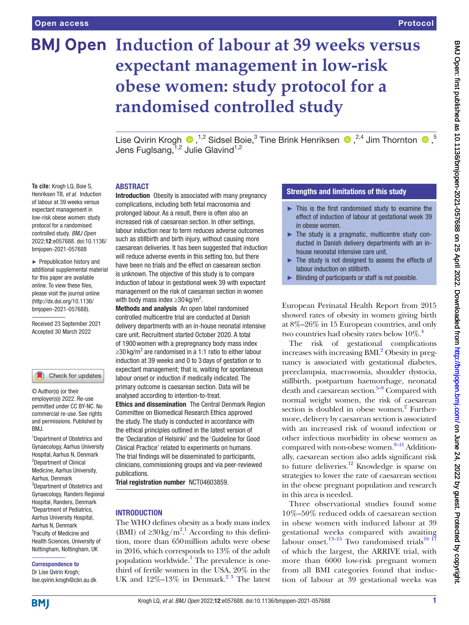**To cite:** Krogh LQ, Boie S, Henriksen TB, *et al*. Induction of labour at 39 weeks versus expectant management in low-risk obese women: study protocol for a randomised controlled study. *BMJ Open* 2022;12:e057688. doi:10.1136/ bmjopen-2021-057688 ► Prepublication history and additional supplemental material for this paper are available online. To view these files, please visit the journal online [\(http://dx.doi.org/10.1136/](http://dx.doi.org/10.1136/bmjopen-2021-057688) [bmjopen-2021-057688](http://dx.doi.org/10.1136/bmjopen-2021-057688)).

Received 23 September 2021 Accepted 30 March 2022

Check for updates

# **BMJ Open Induction of labour at 39 weeks versus expectant management in low-risk obese women: study protocol for a randomised controlled study**

LiseQvirin Krogh  $\bigcirc$  ,<sup>1,2</sup> Sidsel Boie,<sup>3</sup> Tine Brink Henriksen  $\bigcirc$  ,<sup>2,4</sup> Jim Thornton  $\bigcirc$  ,<sup>5</sup> Jens Fuglsang, 1,2 Julie Glavind 1,2

#### ABSTRACT

Introduction Obesity is associated with many pregnancy complications, including both fetal macrosomia and prolonged labour. As a result, there is often also an increased risk of caesarean section. In other settings, labour induction near to term reduces adverse outcomes such as stillbirth and birth injury, without causing more caesarean deliveries. It has been suggested that induction will reduce adverse events in this setting too, but there have been no trials and the effect on caesarean section is unknown. The objective of this study is to compare induction of labour in gestational week 39 with expectant management on the risk of caesarean section in women with body mass index  $\geq$ 30 kg/m<sup>2</sup>.

Methods and analysis An open label randomised controlled multicentre trial are conducted at Danish delivery departments with an in-house neonatal intensive care unit. Recruitment started October 2020. A total of 1900women with a prepregnancy body mass index ≥30 kg/m<sup>2</sup> are randomised in a 1:1 ratio to either labour induction at 39 weeks and 0 to 3 days of gestation or to expectant management; that is, waiting for spontaneous labour onset or induction if medically indicated. The primary outcome is caesarean section. Data will be analysed according to intention-to-treat. Ethics and dissemination The Central Denmark Region Committee on Biomedical Research Ethics approved the study. The study is conducted in accordance with the ethical principles outlined in the latest version of the 'Declaration of Helsinki' and the 'Guideline for Good Clinical Practice' related to experiments on humans. The trial findings will be disseminated to participants, clinicians, commissioning groups and via peer-reviewed publications.

Trial registration number <NCT04603859>.

## INTRODUCTION

The WHO defines obesity as a body mass index (BMI) of  $\geq 30 \text{ kg/m}^2$ . According to this definition, more than 650million adults were obese in 2016, which corresponds to 13% of the adult population worldwide.<sup>1</sup> The prevalence is onethird of fertile women in the USA, 20% in the UK and  $12\% - 13\%$  in Denmark.<sup>23</sup> The latest

# Strengths and limitations of this study

- $\blacktriangleright$  This is the first randomised study to examine the effect of induction of labour at gestational week 39 in obese women.
- ► The study is a pragmatic, multicentre study conducted in Danish delivery departments with an inhouse neonatal intensive care unit.
- ► The study is not designed to assess the effects of labour induction on stillbirth.
- ► Blinding of participants or staff is not possible.

European Perinatal Health Report from 2015 showed rates of obesity in women giving birth at 8%–26% in 15 European countries, and only two countries had obesity rates below  $10\%$ .<sup>4</sup>

The risk of gestational complications increases with increasing BMI.<sup>2</sup> Obesity in pregnancy is associated with gestational diabetes, preeclampsia, macrosomia, shoulder dystocia, stillbirth, postpartum haemorrhage, neonatal death and caesarean section. $5-9$  Compared with normal weight women, the risk of caesarean section is doubled in obese women.<sup>2</sup> Furthermore, delivery by caesarean section is associated with an increased risk of wound infection or other infectious morbidity in obese women as compared with non-obese women.<sup>9-11</sup> Additionally, caesarean section also adds significant risk to future deliveries.<sup>12</sup> Knowledge is sparse on strategies to lower the rate of caesarean section in the obese pregnant population and research in this area is needed.

Three observational studies found some 10%–50% reduced odds of caesarean section in obese women with induced labour at 39 gestational weeks compared with awaiting labour onset.<sup>[13–15](#page-5-2)</sup> Two randomised trials<sup>16 17</sup> of which the largest, the ARRIVE trial, with more than 6000 low-risk pregnant women from all BMI categories found that induction of labour at 39 gestational weeks was

Aarhus, Denmark 3 Department of Obstetrics and

Gynaecology, Randers Regional Hospital, Randers, Denmark 4 Department of Pediatrics, Aarhus University Hospital, Aarhus N, Denmark 5 Faculty of Medicine and Health Sciences, University of Nottingham, Nottingham, UK

1 Department of Obstetrics and Gynaecology, Aarhus University Hospital, Aarhus N, Denmark 2 Department of Clinical Medicine, Aarhus University,

© Author(s) (or their employer(s)) 2022. Re-use permitted under CC BY-NC. No commercial re-use. See rights and permissions. Published by

BMJ.

#### Correspondence to

Dr Lise Qvirin Krogh; lise.qvirin.krogh@clin.au.dk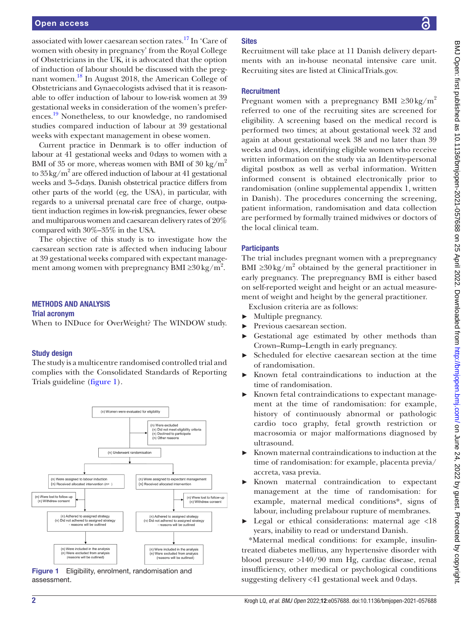associated with lower caesarean section rates[.17](#page-5-4) In 'Care of women with obesity in pregnancy' from the Royal College of Obstetricians in the UK, it is advocated that the option of induction of labour should be discussed with the pregnant women.[18](#page-5-5) In August 2018, the American College of Obstetricians and Gynaecologists advised that it is reasonable to offer induction of labour to low-risk women at 39 gestational weeks in consideration of the women's prefer-ences.<sup>[19](#page-5-6)</sup> Nonetheless, to our knowledge, no randomised studies compared induction of labour at 39 gestational weeks with expectant management in obese women.

Current practice in Denmark is to offer induction of labour at 41 gestational weeks and 0days to women with a BMI of 35 or more, whereas women with BMI of 30 kg/ $m^2$ to  $35\,\mathrm{kg/m^2}$  are offered induction of labour at 41 gestational weeks and 3–5days. Danish obstetrical practice differs from other parts of the world (eg, the USA), in particular, with regards to a universal prenatal care free of charge, outpatient induction regimes in low-risk pregnancies, fewer obese and multiparous women and caesarean delivery rates of 20% compared with 30%–35% in the USA.

The objective of this study is to investigate how the caesarean section rate is affected when inducing labour at 39 gestational weeks compared with expectant management among women with prepregnancy BMI ≥30 kg/m<sup>2</sup>.

## METHODS AND ANALYSIS

#### Trial acronym

When to INDuce for OverWeight? The WINDOW study.

## Study design

The study is a multicentre randomised controlled trial and complies with the Consolidated Standards of Reporting Trials guideline [\(figure](#page-1-0) 1).



<span id="page-1-0"></span>Figure 1 Eligibility, enrolment, randomisation and assessment.

# **Sites**

Recruitment will take place at 11 Danish delivery departments with an in-house neonatal intensive care unit. Recruiting sites are listed at ClinicalTrials.gov.

## **Recruitment**

Pregnant women with a prepregnancy BMI  $\geq 30 \text{ kg/m}^2$ referred to one of the recruiting sites are screened for eligibility. A screening based on the medical record is performed two times; at about gestational week 32 and again at about gestational week 38 and no later than 39 weeks and 0days, identifying eligible women who receive written information on the study via an Identity-personal digital postbox as well as verbal information. Written informed consent is obtained electronically prior to randomisation [\(online supplemental appendix 1](https://dx.doi.org/10.1136/bmjopen-2021-057688), written in Danish). The procedures concerning the screening, patient information, randomisation and data collection are performed by formally trained midwives or doctors of the local clinical team.

# **Participants**

The trial includes pregnant women with a prepregnancy BMI  $\geq$ 30 kg/m<sup>2</sup> obtained by the general practitioner in early pregnancy. The prepregnancy BMI is either based on self-reported weight and height or an actual measurement of weight and height by the general practitioner.

Exclusion criteria are as follows:

- Multiple pregnancy.
- ► Previous caesarean section.
- Gestational age estimated by other methods than Crown–Rump–Length in early pregnancy.
- ► Scheduled for elective caesarean section at the time of randomisation.
- Known fetal contraindications to induction at the time of randomisation.
- ► Known fetal contraindications to expectant management at the time of randomisation: for example, history of continuously abnormal or pathologic cardio toco graphy, fetal growth restriction or macrosomia or major malformations diagnosed by ultrasound.
- ► Known maternal contraindications to induction at the time of randomisation: for example, placenta previa/ accreta, vasa previa.
- ► Known maternal contraindication to expectant management at the time of randomisation: for example, maternal medical conditions\*, signs of labour, including prelabour rupture of membranes.
- ► Legal or ethical considerations: maternal age <18 years, inability to read or understand Danish.

\*Maternal medical conditions: for example, insulintreated diabetes mellitus, any hypertensive disorder with blood pressure >140/90 mm Hg, cardiac disease, renal insufficiency, other medical or psychological conditions suggesting delivery <41 gestational week and 0days.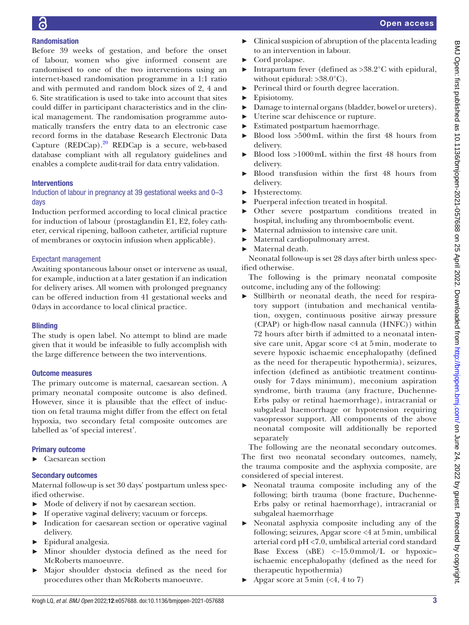# Randomisation

Before 39 weeks of gestation, and before the onset of labour, women who give informed consent are randomised to one of the two interventions using an internet-based randomisation programme in a 1:1 ratio and with permuted and random block sizes of 2, 4 and 6. Site stratification is used to take into account that sites could differ in participant characteristics and in the clinical management. The randomisation programme automatically transfers the entry data to an electronic case record forms in the database Research Electronic Data Capture  $(REDCap).^{20}$  REDCap is a secure, web-based database compliant with all regulatory guidelines and enables a complete audit-trail for data entry validation.

# **Interventions**

# Induction of labour in pregnancy at 39 gestational weeks and 0–3 days

Induction performed according to local clinical practice for induction of labour (prostaglandin E1, E2, foley catheter, cervical ripening, balloon catheter, artificial rupture of membranes or oxytocin infusion when applicable).

# Expectant management

Awaiting spontaneous labour onset or intervene as usual, for example, induction at a later gestation if an indication for delivery arises. All women with prolonged pregnancy can be offered induction from 41 gestational weeks and 0days in accordance to local clinical practice.

# **Blinding**

The study is open label. No attempt to blind are made given that it would be infeasible to fully accomplish with the large difference between the two interventions.

# Outcome measures

The primary outcome is maternal, caesarean section. A primary neonatal composite outcome is also defined. However, since it is plausible that the effect of induction on fetal trauma might differ from the effect on fetal hypoxia, two secondary fetal composite outcomes are labelled as 'of special interest'.

# Primary outcome

► Caesarean section

# Secondary outcomes

Maternal follow-up is set 30 days' postpartum unless specified otherwise.

- ► Mode of delivery if not by caesarean section.
- ► If operative vaginal delivery; vacuum or forceps.
- ► Indication for caesarean section or operative vaginal delivery.
- ► Epidural analgesia.
- ► Minor shoulder dystocia defined as the need for McRoberts manoeuvre.
- ► Major shoulder dystocia defined as the need for procedures other than McRoberts manoeuvre.
- ► Clinical suspicion of abruption of the placenta leading to an intervention in labour.
- ► Cord prolapse.
- ► Intrapartum fever (defined as >38.2°C with epidural, without epidural:  $>38.0^{\circ}$ C).
- ► Perineal third or fourth degree laceration.
- ► Episiotomy.
- ► Damage to internal organs (bladder, bowel or ureters).
- ► Uterine scar dehiscence or rupture.
- ► Estimated postpartum haemorrhage.
- Blood loss  $>500$  mL within the first 48 hours from delivery.
- ► Blood loss >1000mL within the first 48 hours from delivery.
- ► Blood transfusion within the first 48 hours from delivery.
- ► Hysterectomy.
- ► Puerperal infection treated in hospital.
- ► Other severe postpartum conditions treated in hospital, including any thromboembolic event.
- ► Maternal admission to intensive care unit.
- ► Maternal cardiopulmonary arrest.
- ► Maternal death.

Neonatal follow-up is set 28 days after birth unless specified otherwise.

The following is the primary neonatal composite outcome, including any of the following:

► Stillbirth or neonatal death, the need for respiratory support (intubation and mechanical ventilation, oxygen, continuous positive airway pressure (CPAP) or high-flow nasal cannula (HNFC)) within 72 hours after birth if admitted to a neonatal intensive care unit, Apgar score <4 at 5 min, moderate to severe hypoxic ischaemic encephalopathy (defined as the need for therapeutic hypothermia), seizures, infection (defined as antibiotic treatment continuously for 7 days minimum), meconium aspiration syndrome, birth trauma (any fracture, Duchenne-Erbs palsy or retinal haemorrhage), intracranial or subgaleal haemorrhage or hypotension requiring vasopressor support. All components of the above neonatal composite will additionally be reported separately

The following are the neonatal secondary outcomes. The first two neonatal secondary outcomes, namely, the trauma composite and the asphyxia composite, are considered of special interest.

- Neonatal trauma composite including any of the following; birth trauma (bone fracture, Duchenne-Erbs palsy or retinal haemorrhage), intracranial or subgaleal haemorrhage
- Neonatal asphyxia composite including any of the following; seizures, Apgar score <4 at 5min, umbilical arterial cord pH <7.0, umbilical arterial cord standard Base Excess (sBE) <−15.0mmol/L or hypoxic– ischaemic encephalopathy (defined as the need for therapeutic hypothermia)
- $\blacktriangleright$  Apgar score at 5 min (<4, 4 to 7)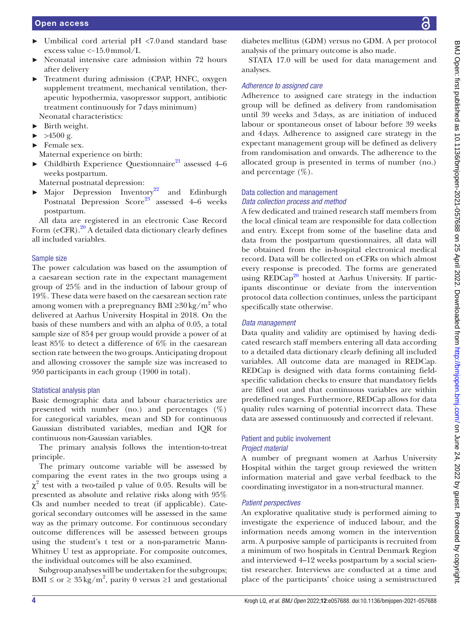- ► Umbilical cord arterial pH <7.0and standard base excess value <−15.0mmol/L
- Neonatal intensive care admission within 72 hours after delivery
- ► Treatment during admission (CPAP, HNFC, oxygen supplement treatment, mechanical ventilation, therapeutic hypothermia, vasopressor support, antibiotic treatment continuously for 7days minimum) Neonatal characteristics:
- ► Birth weight.
- $\blacktriangleright$  >4500 g.
- ► Female sex.
- Maternal experience on birth:
- $\blacktriangleright$  Childbirth Experience Questionnaire<sup>[21](#page-5-8)</sup> assessed 4–6 weeks postpartum.

Maternal postnatal depression:

► Major Depression Inventory<sup>22</sup> and Edinburgh Postnatal Depression Score<sup>23</sup> assessed  $4-6$  weeks postpartum.

All data are registered in an electronic Case Record Form  $(eCFR).^{20}$  A detailed data dictionary clearly defines all included variables.

## Sample size

The power calculation was based on the assumption of a caesarean section rate in the expectant management group of 25% and in the induction of labour group of 19%. These data were based on the caesarean section rate among women with a prepregnancy BMI ≥ $30\,\mathrm{kg/m^2}$  who delivered at Aarhus University Hospital in 2018. On the basis of these numbers and with an alpha of 0.05, a total sample size of 854 per group would provide a power of at least 85% to detect a difference of 6% in the caesarean section rate between the two groups. Anticipating dropout and allowing crossover the sample size was increased to 950 participants in each group (1900 in total).

# Statistical analysis plan

Basic demographic data and labour characteristics are presented with number (no.) and percentages  $(\%)$ for categorical variables, mean and SD for continuous Gaussian distributed variables, median and IQR for continuous non-Gaussian variables.

The primary analysis follows the intention-to-treat principle.

The primary outcome variable will be assessed by comparing the event rates in the two groups using a  $\chi^2$  test with a two-tailed p value of 0.05. Results will be presented as absolute and relative risks along with 95% Cls and number needed to treat (if applicable). Categorical secondary outcomes will be assessed in the same way as the primary outcome. For continuous secondary outcome differences will be assessed between groups using the student's t test or a non-parametric Mann-Whitney U test as appropriate. For composite outcomes, the individual outcomes will be also examined.

Subgroup analyses will be undertaken for the subgroups; BMI  $\leq$  or  $\geq$  35 kg/m<sup>2</sup>, parity 0 versus  $\geq$ 1 and gestational

diabetes mellitus (GDM) versus no GDM. A per protocol analysis of the primary outcome is also made.

STATA 17.0 will be used for data management and analyses.

## *Adherence to assigned care*

Adherence to assigned care strategy in the induction group will be defined as delivery from randomisation until 39 weeks and 3days, as are initiation of induced labour or spontaneous onset of labour before 39 weeks and 4days. Adherence to assigned care strategy in the expectant management group will be defined as delivery from randomisation and onwards. The adherence to the allocated group is presented in terms of number (no.) and percentage  $(\%).$ 

## Data collection and management *Data collection process and method*

A few dedicated and trained research staff members from the local clinical team are responsible for data collection and entry. Except from some of the baseline data and data from the postpartum questionnaires, all data will be obtained from the in-hospital electronical medical record. Data will be collected on eCFRs on which almost every response is precoded. The forms are generated using REDCap<sup>[20](#page-5-7)</sup> hosted at Aarhus University. If participants discontinue or deviate from the intervention protocol data collection continues, unless the participant specifically state otherwise.

# *Data management*

Data quality and validity are optimised by having dedicated research staff members entering all data according to a detailed data dictionary clearly defining all included variables. All outcome data are managed in REDCap. REDCap is designed with data forms containing fieldspecific validation checks to ensure that mandatory fields are filled out and that continuous variables are within predefined ranges. Furthermore, REDCap allows for data quality rules warning of potential incorrect data. These data are assessed continuously and corrected if relevant.

## Patient and public involvement *Project material*

A number of pregnant women at Aarhus University Hospital within the target group reviewed the written information material and gave verbal feedback to the coordinating investigator in a non-structural manner.

## *Patient perspectives*

An explorative qualitative study is performed aiming to investigate the experience of induced labour, and the information needs among women in the intervention arm. A purposive sample of participants is recruited from a minimum of two hospitals in Central Denmark Region and interviewed 4–12 weeks postpartum by a social scientist researcher. Interviews are conducted at a time and place of the participants' choice using a semistructured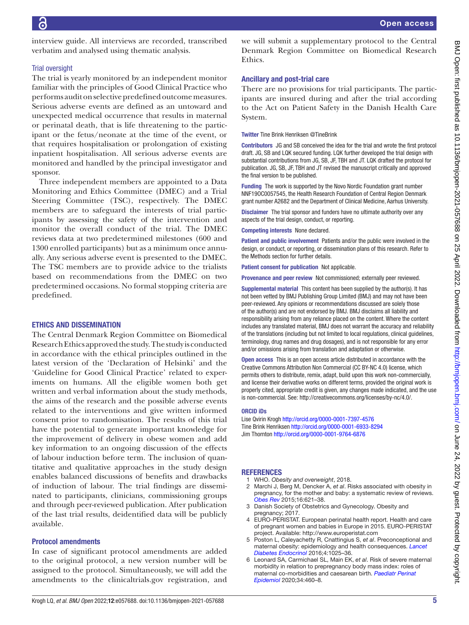interview guide. All interviews are recorded, transcribed verbatim and analysed using thematic analysis.

## Trial oversight

The trial is yearly monitored by an independent monitor familiar with the principles of Good Clinical Practice who performs audit on selective predefined outcome measures. Serious adverse events are defined as an untoward and unexpected medical occurrence that results in maternal or perinatal death, that is life threatening to the participant or the fetus/neonate at the time of the event, or that requires hospitalisation or prolongation of existing inpatient hospitalisation. All serious adverse events are monitored and handled by the principal investigator and sponsor.

Three independent members are appointed to a Data Monitoring and Ethics Committee (DMEC) and a Trial Steering Committee (TSC), respectively. The DMEC members are to safeguard the interests of trial participants by assessing the safety of the intervention and monitor the overall conduct of the trial. The DMEC reviews data at two predetermined milestones (600 and 1300 enrolled participants) but as a minimum once annually. Any serious adverse event is presented to the DMEC. The TSC members are to provide advice to the trialists based on recommendations from the DMEC on two predetermined occasions. No formal stopping criteria are predefined.

# ETHICS AND DISSEMINATION

The Central Denmark Region Committee on Biomedical Research Ethics approved the study. The study is conducted in accordance with the ethical principles outlined in the latest version of the 'Declaration of Helsinki' and the 'Guideline for Good Clinical Practice' related to experiments on humans. All the eligible women both get written and verbal information about the study methods, the aims of the research and the possible adverse events related to the interventions and give written informed consent prior to randomisation. The results of this trial have the potential to generate important knowledge for the improvement of delivery in obese women and add key information to an ongoing discussion of the effects of labour induction before term. The inclusion of quantitative and qualitative approaches in the study design enables balanced discussions of benefits and drawbacks of induction of labour. The trial findings are disseminated to participants, clinicians, commissioning groups and through peer-reviewed publication. After publication of the last trial results, deidentified data will be publicly available.

## Protocol amendments

In case of significant protocol amendments are added to the original protocol, a new version number will be assigned to the protocol. Simultaneously, we will add the amendments to the clinicaltrials.gov registration, and

we will submit a supplementary protocol to the Central Denmark Region Committee on Biomedical Research Ethics.

# Ancillary and post-trial care

There are no provisions for trial participants. The participants are insured during and after the trial according to the Act on Patient Safety in the Danish Health Care System.

Twitter Tine Brink Henriksen [@TineBrink](https://twitter.com/TineBrink)

Contributors JG and SB conceived the idea for the trial and wrote the first protocol draft. JG, SB and LQK secured funding. LQK further developed the trial design with substantial contributions from JG, SB, JF, TBH and JT. LQK drafted the protocol for publication. JG, SB, JF, TBH and JT revised the manuscript critically and approved the final version to be published.

Funding The work is supported by the Novo Nordic Foundation grant number NNF19OC0057545, the Health Research Foundation of Central Region Denmark grant number A2682 and the Department of Clinical Medicine, Aarhus University.

Disclaimer The trial sponsor and funders have no ultimate authority over any aspects of the trial design, conduct, or reporting.

Competing interests None declared.

Patient and public involvement Patients and/or the public were involved in the design, or conduct, or reporting, or dissemination plans of this research. Refer to the Methods section for further details.

Patient consent for publication Not applicable.

Provenance and peer review Not commissioned; externally peer reviewed.

Supplemental material This content has been supplied by the author(s). It has not been vetted by BMJ Publishing Group Limited (BMJ) and may not have been peer-reviewed. Any opinions or recommendations discussed are solely those of the author(s) and are not endorsed by BMJ. BMJ disclaims all liability and responsibility arising from any reliance placed on the content. Where the content includes any translated material, BMJ does not warrant the accuracy and reliability of the translations (including but not limited to local regulations, clinical guidelines, terminology, drug names and drug dosages), and is not responsible for any error and/or omissions arising from translation and adaptation or otherwise.

Open access This is an open access article distributed in accordance with the Creative Commons Attribution Non Commercial (CC BY-NC 4.0) license, which permits others to distribute, remix, adapt, build upon this work non-commercially, and license their derivative works on different terms, provided the original work is properly cited, appropriate credit is given, any changes made indicated, and the use is non-commercial. See: [http://creativecommons.org/licenses/by-nc/4.0/.](http://creativecommons.org/licenses/by-nc/4.0/)

## ORCID iDs

Lise Qvirin Krogh <http://orcid.org/0000-0001-7397-4576> Tine Brink Henriksen<http://orcid.org/0000-0001-6933-8294> Jim Thornton <http://orcid.org/0000-0001-9764-6876>

#### REFERENCES

- <span id="page-4-0"></span>1 WHO. *Obesity and overweight*, 2018.
- <span id="page-4-1"></span>2 Marchi J, Berg M, Dencker A, *et al*. Risks associated with obesity in pregnancy, for the mother and baby: a systematic review of reviews. *[Obes Rev](http://dx.doi.org/10.1111/obr.12288)* 2015;16:621–38.
- 3 Danish Society of Obstetrics and Gynecology. Obesity and pregnancy; 2017
- <span id="page-4-2"></span>4 EURO-PERISTAT. European perinatal health report. Health and care of pregnant women and babies in Europe in 2015. EURO-PERISTAT project. Available:<http://www.europeristat.com>
- <span id="page-4-3"></span>5 Poston L, Caleyachetty R, Cnattingius S, *et al*. Preconceptional and maternal obesity: epidemiology and health consequences. *[Lancet](http://dx.doi.org/10.1016/S2213-8587(16)30217-0)  [Diabetes Endocrinol](http://dx.doi.org/10.1016/S2213-8587(16)30217-0)* 2016;4:1025–36.
- 6 Leonard SA, Carmichael SL, Main EK, *et al*. Risk of severe maternal morbidity in relation to prepregnancy body mass index: roles of maternal co-morbidities and caesarean birth. *[Paediatr Perinat](http://dx.doi.org/10.1111/ppe.12555)  [Epidemiol](http://dx.doi.org/10.1111/ppe.12555)* 2020;34:460–8.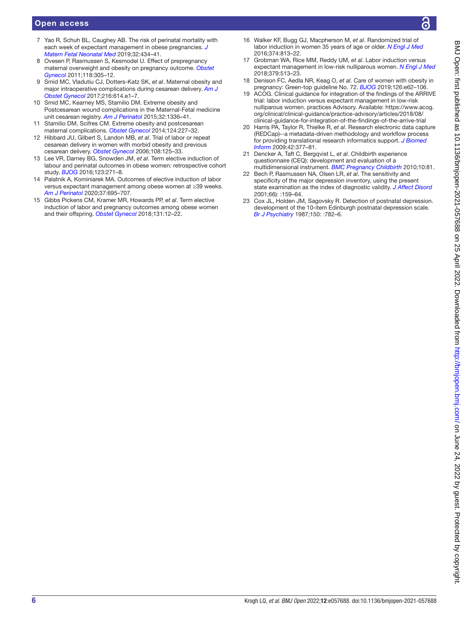- 7 Yao R, Schuh BL, Caughey AB. The risk of perinatal mortality with each week of expectant management in obese pregnancies. *[J](http://dx.doi.org/10.1080/14767058.2017.1381903)  [Matern Fetal Neonatal Med](http://dx.doi.org/10.1080/14767058.2017.1381903)* 2019;32:434–41.
- 8 Ovesen P, Rasmussen S, Kesmodel U. Effect of prepregnancy maternal overweight and obesity on pregnancy outcome. *[Obstet](http://dx.doi.org/10.1097/AOG.0b013e3182245d49)  [Gynecol](http://dx.doi.org/10.1097/AOG.0b013e3182245d49)* 2011;118:305–12.
- <span id="page-5-0"></span>9 Smid MC, Vladutiu CJ, Dotters-Katz SK, *et al*. Maternal obesity and major intraoperative complications during cesarean delivery. *[Am J](http://dx.doi.org/10.1016/j.ajog.2017.02.011)  [Obstet Gynecol](http://dx.doi.org/10.1016/j.ajog.2017.02.011)* 2017;216:614.e1–7.
- 10 Smid MC, Kearney MS, Stamilio DM. Extreme obesity and Postcesarean wound complications in the Maternal-Fetal medicine unit cesarean registry. *[Am J Perinatol](http://dx.doi.org/10.1055/s-0035-1564883)* 2015;32:1336–41.
- 11 Stamilio DM, Scifres CM. Extreme obesity and postcesarean maternal complications. *[Obstet Gynecol](http://dx.doi.org/10.1097/AOG.0000000000000384)* 2014;124:227–32.
- <span id="page-5-1"></span>12 Hibbard JU, Gilbert S, Landon MB, *et al*. Trial of labor or repeat cesarean delivery in women with morbid obesity and previous cesarean delivery. *[Obstet Gynecol](http://dx.doi.org/10.1097/01.AOG.0000223871.69852.31)* 2006;108:125–33.
- <span id="page-5-2"></span>13 Lee VR, Darney BG, Snowden JM, *et al*. Term elective induction of labour and perinatal outcomes in obese women: retrospective cohort study. *[BJOG](http://dx.doi.org/10.1111/1471-0528.13807)* 2016;123:271–8.
- 14 Palatnik A, Kominiarek MA. Outcomes of elective induction of labor versus expectant management among obese women at ≥39 weeks. *[Am J Perinatol](http://dx.doi.org/10.1055/s-0039-1688471)* 2020;37:695–707.
- 15 Gibbs Pickens CM, Kramer MR, Howards PP, *et al*. Term elective induction of labor and pregnancy outcomes among obese women and their offspring. *[Obstet Gynecol](http://dx.doi.org/10.1097/AOG.0000000000002408)* 2018;131:12–22.
- <span id="page-5-3"></span>16 Walker KF, Bugg GJ, Macpherson M, *et al*. Randomized trial of labor induction in women 35 years of age or older. *[N Engl J Med](http://dx.doi.org/10.1056/NEJMoa1509117)* 2016;374:813–22.
- <span id="page-5-4"></span>17 Grobman WA, Rice MM, Reddy UM, *et al*. Labor induction versus expectant management in low-risk nulliparous women. *[N Engl J Med](http://dx.doi.org/10.1056/NEJMoa1800566)* 2018;379:513–23.
- <span id="page-5-5"></span>18 Denison FC, Aedla NR, Keag O, *et al*. Care of women with obesity in pregnancy: Green-top guideline No. 72. *[BJOG](http://dx.doi.org/10.1111/1471-0528.15386)* 2019;126:e62–106.
- <span id="page-5-6"></span>19 ACOG. Clinical guidance for integration of the findings of the ARRIVE trial: labor induction versus expectant management in low-risk nulliparous women. practices Advisory. Available: [https://www.acog.](https://www.acog.org/clinical/clinical-guidance/practice-advisory/articles/2018/08/clinical-guidance-for-integration-of-the-findings-of-the-arrive-trial) [org/clinical/clinical-guidance/practice-advisory/articles/2018/08/](https://www.acog.org/clinical/clinical-guidance/practice-advisory/articles/2018/08/clinical-guidance-for-integration-of-the-findings-of-the-arrive-trial) [clinical-guidance-for-integration-of-the-findings-of-the-arrive-trial](https://www.acog.org/clinical/clinical-guidance/practice-advisory/articles/2018/08/clinical-guidance-for-integration-of-the-findings-of-the-arrive-trial)
- <span id="page-5-7"></span>20 Harris PA, Taylor R, Thielke R, *et al*. Research electronic data capture (REDCap)--a metadata-driven methodology and workflow process for providing translational research informatics support. *[J Biomed](http://dx.doi.org/10.1016/j.jbi.2008.08.010)  [Inform](http://dx.doi.org/10.1016/j.jbi.2008.08.010)* 2009;42:377–81.
- <span id="page-5-8"></span>21 Dencker A, Taft C, Bergqvist L, *et al*. Childbirth experience questionnaire (CEQ): development and evaluation of a multidimensional instrument. *[BMC Pregnancy Childbirth](http://dx.doi.org/10.1186/1471-2393-10-81)* 2010;10:81.
- <span id="page-5-9"></span>22 Bech P, Rasmussen NA, Olsen LR, *et al*. The sensitivity and specificity of the major depression inventory, using the present state examination as the index of diagnostic validity. *[J Affect Disord](http://dx.doi.org/10.1016/S0165-0327(00)00309-8)* 2001;66): :159–64.
- <span id="page-5-10"></span>23 Cox JL, Holden JM, Sagovsky R. Detection of postnatal depression. development of the 10-item Edinburgh postnatal depression scale. *[Br J Psychiatry](http://dx.doi.org/10.1192/bjp.150.6.782)* 1987;150: :782–6.